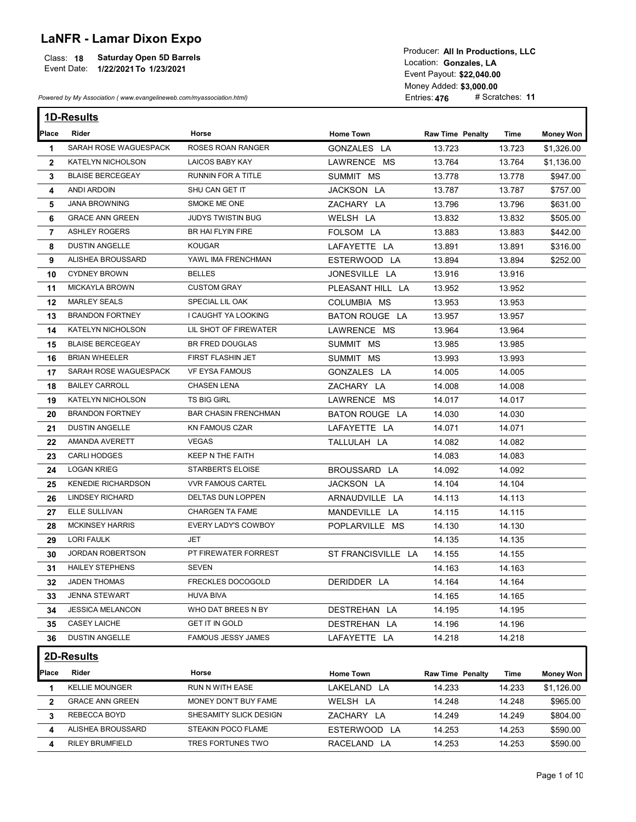## LaNFR - Lamar Dixon Expo

| Class: 18   | <b>Saturday Open 5D Barrels</b> | Location: Gonzales, LA    |
|-------------|---------------------------------|---------------------------|
| Event Date: | 1/22/2021 To 1/23/2021          |                           |
|             |                                 | Event Pavout: \$22,040.00 |

|                | <b>Saturday Open 5D Barrels</b><br>Class: 18<br>Event Date:<br>1/22/2021 To 1/23/2021<br>Powered by My Association (www.evangelineweb.com/myassociation.html) |                             |                    | Producer: All In Productions, LLC<br>Location: Gonzales, LA<br>Event Payout: \$22,040.00<br>Money Added: \$3,000.00<br>Entries: 476 | # Scratches: 11 |                  |
|----------------|---------------------------------------------------------------------------------------------------------------------------------------------------------------|-----------------------------|--------------------|-------------------------------------------------------------------------------------------------------------------------------------|-----------------|------------------|
|                |                                                                                                                                                               |                             |                    |                                                                                                                                     |                 |                  |
|                | 1D-Results                                                                                                                                                    |                             |                    |                                                                                                                                     |                 |                  |
| Place          | Rider                                                                                                                                                         | Horse                       | <b>Home Town</b>   | <b>Raw Time Penalty</b>                                                                                                             | Time            | <b>Money Won</b> |
| 1              | SARAH ROSE WAGUESPACK                                                                                                                                         | ROSES ROAN RANGER           | GONZALES LA        | 13.723                                                                                                                              | 13.723          | \$1,326.00       |
| $\mathbf{2}$   | KATELYN NICHOLSON                                                                                                                                             | <b>LAICOS BABY KAY</b>      | LAWRENCE MS        | 13.764                                                                                                                              | 13.764          | \$1,136.00       |
| 3              | <b>BLAISE BERCEGEAY</b>                                                                                                                                       | RUNNIN FOR A TITLE          | SUMMIT MS          | 13.778                                                                                                                              | 13.778          | \$947.00         |
| 4              | ANDI ARDOIN                                                                                                                                                   | SHU CAN GET IT              | JACKSON LA         | 13.787                                                                                                                              | 13.787          | \$757.00         |
| 5              | <b>JANA BROWNING</b>                                                                                                                                          | SMOKE ME ONE                | ZACHARY LA         | 13.796                                                                                                                              | 13.796          | \$631.00         |
| 6              | <b>GRACE ANN GREEN</b>                                                                                                                                        | JUDYS TWISTIN BUG           | WELSH LA           | 13.832                                                                                                                              | 13.832          | \$505.00         |
| $\overline{7}$ | <b>ASHLEY ROGERS</b>                                                                                                                                          | BR HAI FLYIN FIRE           | FOLSOM LA          | 13.883                                                                                                                              | 13.883          | \$442.00         |
| 8              | <b>DUSTIN ANGELLE</b>                                                                                                                                         | KOUGAR                      | LAFAYETTE LA       | 13.891                                                                                                                              | 13.891          | \$316.00         |
| 9              | ALISHEA BROUSSARD                                                                                                                                             | YAWL IMA FRENCHMAN          | ESTERWOOD LA       | 13.894                                                                                                                              | 13.894          | \$252.00         |
| 10             | <b>CYDNEY BROWN</b>                                                                                                                                           | <b>BELLES</b>               | JONESVILLE LA      | 13.916                                                                                                                              | 13.916          |                  |
| 11             | <b>MICKAYLA BROWN</b>                                                                                                                                         | <b>CUSTOM GRAY</b>          | PLEASANT HILL LA   | 13.952                                                                                                                              | 13.952          |                  |
| 12             | <b>MARLEY SEALS</b>                                                                                                                                           | SPECIAL LIL OAK             | COLUMBIA MS        | 13.953                                                                                                                              | 13.953          |                  |
| 13             | <b>BRANDON FORTNEY</b>                                                                                                                                        | I CAUGHT YA LOOKING         | BATON ROUGE LA     | 13.957                                                                                                                              | 13.957          |                  |
| 14             | KATELYN NICHOLSON                                                                                                                                             | LIL SHOT OF FIREWATER       | LAWRENCE MS        | 13.964                                                                                                                              | 13.964          |                  |
| 15             | <b>BLAISE BERCEGEAY</b>                                                                                                                                       | <b>BR FRED DOUGLAS</b>      | SUMMIT MS          | 13.985                                                                                                                              | 13.985          |                  |
| 16             | <b>BRIAN WHEELER</b>                                                                                                                                          | FIRST FLASHIN JET           | SUMMIT MS          | 13.993                                                                                                                              | 13.993          |                  |
| 17             | SARAH ROSE WAGUESPACK                                                                                                                                         | VF EYSA FAMOUS              | GONZALES LA        | 14.005                                                                                                                              | 14.005          |                  |
| 18             | <b>BAILEY CARROLL</b>                                                                                                                                         | <b>CHASEN LENA</b>          | ZACHARY LA         | 14.008                                                                                                                              | 14.008          |                  |
| 19             | KATELYN NICHOLSON                                                                                                                                             | <b>TS BIG GIRL</b>          | LAWRENCE MS        | 14.017                                                                                                                              | 14.017          |                  |
| 20             | <b>BRANDON FORTNEY</b>                                                                                                                                        | <b>BAR CHASIN FRENCHMAN</b> | BATON ROUGE LA     | 14.030                                                                                                                              | 14.030          |                  |
| 21             | <b>DUSTIN ANGELLE</b>                                                                                                                                         | <b>KN FAMOUS CZAR</b>       | LAFAYETTE LA       | 14.071                                                                                                                              | 14.071          |                  |
| 22             | AMANDA AVERETT                                                                                                                                                | <b>VEGAS</b>                | TALLULAH LA        | 14.082                                                                                                                              | 14.082          |                  |
| 23             | <b>CARLI HODGES</b>                                                                                                                                           | KEEP N THE FAITH            |                    | 14.083                                                                                                                              | 14.083          |                  |
| 24             | LOGAN KRIEG                                                                                                                                                   | STARBERTS ELOISE            | BROUSSARD LA       | 14.092                                                                                                                              | 14.092          |                  |
| 25             | <b>KENEDIE RICHARDSON</b>                                                                                                                                     | <b>VVR FAMOUS CARTEL</b>    | JACKSON LA         | 14.104                                                                                                                              | 14.104          |                  |
| 26             | <b>LINDSEY RICHARD</b>                                                                                                                                        | DELTAS DUN LOPPEN           | ARNAUDVILLE LA     | 14.113                                                                                                                              | 14.113          |                  |
| 27             | ELLE SULLIVAN                                                                                                                                                 | CHARGEN TA FAME             | MANDEVILLE LA      | 14.115                                                                                                                              | 14.115          |                  |
| 28             | <b>MCKINSEY HARRIS</b>                                                                                                                                        | EVERY LADY'S COWBOY         | POPLARVILLE MS     | 14.130                                                                                                                              | 14.130          |                  |
| 29             | LORI FAULK                                                                                                                                                    | JET                         |                    | 14.135                                                                                                                              | 14.135          |                  |
| 30             | JORDAN ROBERTSON                                                                                                                                              | PT FIREWATER FORREST        | ST FRANCISVILLE LA | 14.155                                                                                                                              | 14.155          |                  |
| 31             | <b>HAILEY STEPHENS</b>                                                                                                                                        | <b>SEVEN</b>                |                    | 14.163                                                                                                                              | 14.163          |                  |
| 32             | <b>JADEN THOMAS</b>                                                                                                                                           | FRECKLES DOCOGOLD           | DERIDDER LA        | 14.164                                                                                                                              | 14.164          |                  |
| 33             | <b>JENNA STEWART</b>                                                                                                                                          | <b>HUVA BIVA</b>            |                    | 14.165                                                                                                                              | 14.165          |                  |
| 34             | <b>JESSICA MELANCON</b>                                                                                                                                       | WHO DAT BREES N BY          | DESTREHAN LA       | 14.195                                                                                                                              | 14.195          |                  |
| 35             | <b>CASEY LAICHE</b>                                                                                                                                           | <b>GET IT IN GOLD</b>       | DESTREHAN LA       | 14.196                                                                                                                              | 14.196          |                  |
| 36.            | <b>DUSTIN ANGELLE</b>                                                                                                                                         | FAMOUS JESSY JAMES          | LAFAYETTE LA       | 14.218                                                                                                                              | 14.218          |                  |
|                |                                                                                                                                                               |                             |                    |                                                                                                                                     |                 |                  |
|                | 2D-Results                                                                                                                                                    |                             |                    |                                                                                                                                     |                 |                  |
| Place          | Rider                                                                                                                                                         | Horse                       | <b>Home Town</b>   | <b>Raw Time Penalty</b>                                                                                                             | Time            | <b>Money Won</b> |
| -1             | <b>KELLIE MOUNGER</b>                                                                                                                                         | <b>RUN N WITH EASE</b>      | LAKELAND LA        | 14.233                                                                                                                              | 14.233          | \$1,126.00       |
| $\mathbf{2}$   | <b>GRACE ANN GREEN</b>                                                                                                                                        | MONEY DON'T BUY FAME        | WELSH LA           | 14.248                                                                                                                              | 14.248          | \$965.00         |
| 3              | REBECCA BOYD                                                                                                                                                  | SHESAMITY SLICK DESIGN      | ZACHARY LA         | 14.249                                                                                                                              | 14.249          | \$804.00         |
| 4              | ALISHEA BROUSSARD                                                                                                                                             | STEAKIN POCO FLAME          | ESTERWOOD LA       | 14.253                                                                                                                              | 14.253          | \$590.00         |
|                |                                                                                                                                                               |                             |                    |                                                                                                                                     |                 |                  |
| 4              | <b>RILEY BRUMFIELD</b>                                                                                                                                        | TRES FORTUNES TWO           | RACELAND LA        | 14.253                                                                                                                              | 14.253          | \$590.00         |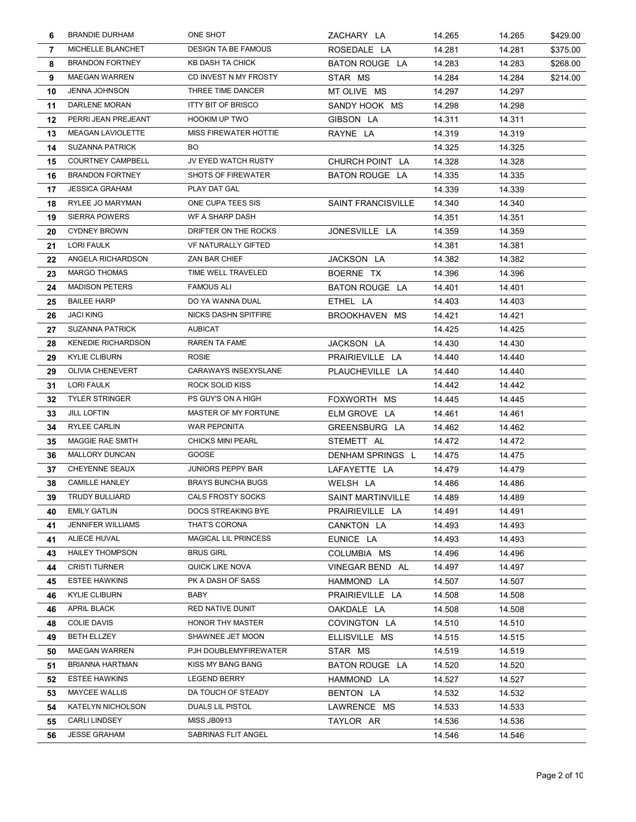|    | <b>BRANDIE DURHAM</b>     | ONE SHOT                    | ZACHARY LA                | 14.265 | 14.265 | \$429.00 |
|----|---------------------------|-----------------------------|---------------------------|--------|--------|----------|
| 7  | MICHELLE BLANCHET         | <b>DESIGN TA BE FAMOUS</b>  | ROSEDALE LA               | 14.281 | 14.281 | \$375.00 |
| 8  | <b>BRANDON FORTNEY</b>    | KB DASH TA CHICK            | BATON ROUGE LA            | 14.283 | 14.283 | \$268.00 |
| 9  | <b>MAEGAN WARREN</b>      | CD INVEST N MY FROSTY       | STAR MS                   | 14.284 | 14.284 | \$214.00 |
| 10 | <b>JENNA JOHNSON</b>      | THREE TIME DANCER           | MT OLIVE MS               | 14.297 | 14.297 |          |
| 11 | DARLENE MORAN             | <b>ITTY BIT OF BRISCO</b>   | SANDY HOOK MS             | 14.298 | 14.298 |          |
| 12 | PERRI JEAN PREJEANT       | <b>HOOKIM UP TWO</b>        | GIBSON LA                 | 14.311 | 14.311 |          |
| 13 | <b>MEAGAN LAVIOLETTE</b>  | MISS FIREWATER HOTTIE       | RAYNE LA                  | 14.319 | 14.319 |          |
| 14 | <b>SUZANNA PATRICK</b>    | BO                          |                           | 14.325 | 14.325 |          |
| 15 | <b>COURTNEY CAMPBELL</b>  | JV EYED WATCH RUSTY         | CHURCH POINT LA           | 14.328 | 14.328 |          |
| 16 | <b>BRANDON FORTNEY</b>    | <b>SHOTS OF FIREWATER</b>   | BATON ROUGE LA            | 14.335 | 14.335 |          |
| 17 | <b>JESSICA GRAHAM</b>     | PLAY DAT GAL                |                           | 14.339 | 14.339 |          |
| 18 | RYLEE JO MARYMAN          | ONE CUPA TEES SIS           | <b>SAINT FRANCISVILLE</b> | 14.340 | 14.340 |          |
| 19 | <b>SIERRA POWERS</b>      | WF A SHARP DASH             |                           | 14.351 | 14.351 |          |
| 20 | <b>CYDNEY BROWN</b>       | DRIFTER ON THE ROCKS        | JONESVILLE LA             | 14.359 | 14.359 |          |
| 21 | LORI FAULK                | <b>VF NATURALLY GIFTED</b>  |                           | 14.381 | 14.381 |          |
| 22 | ANGELA RICHARDSON         | ZAN BAR CHIEF               | JACKSON LA                | 14.382 | 14.382 |          |
| 23 | <b>MARGO THOMAS</b>       | TIME WELL TRAVELED          | BOERNE TX                 | 14.396 | 14.396 |          |
| 24 | <b>MADISON PETERS</b>     | <b>FAMOUS ALI</b>           | BATON ROUGE LA            | 14.401 | 14.401 |          |
| 25 | <b>BAILEE HARP</b>        | DO YA WANNA DUAL            | ETHEL LA                  | 14.403 | 14.403 |          |
| 26 | <b>JACI KING</b>          | NICKS DASHN SPITFIRE        | BROOKHAVEN MS             | 14.421 | 14.421 |          |
| 27 | <b>SUZANNA PATRICK</b>    | <b>AUBICAT</b>              |                           | 14.425 | 14.425 |          |
| 28 | <b>KENEDIE RICHARDSON</b> | RAREN TA FAME               | JACKSON LA                | 14.430 | 14.430 |          |
| 29 | <b>KYLIE CLIBURN</b>      | <b>ROSIE</b>                | PRAIRIEVILLE LA           | 14.440 | 14.440 |          |
| 29 | OLIVIA CHENEVERT          | CARAWAYS INSEXYSLANE        | PLAUCHEVILLE LA           | 14.440 | 14.440 |          |
| 31 | LORI FAULK                | ROCK SOLID KISS             |                           | 14.442 | 14.442 |          |
| 32 | <b>TYLER STRINGER</b>     | PS GUY'S ON A HIGH          | FOXWORTH MS               | 14.445 | 14.445 |          |
| 33 | <b>JILL LOFTIN</b>        | MASTER OF MY FORTUNE        | ELM GROVE LA              | 14.461 | 14.461 |          |
| 34 | <b>RYLEE CARLIN</b>       | <b>WAR PEPONITA</b>         | GREENSBURG LA             | 14.462 | 14.462 |          |
| 35 | <b>MAGGIE RAE SMITH</b>   | <b>CHICKS MINI PEARL</b>    | STEMETT AL                | 14.472 | 14.472 |          |
| 36 | MALLORY DUNCAN            | GOOSE                       | DENHAM SPRINGS L          | 14.475 | 14.475 |          |
| 37 | <b>CHEYENNE SEAUX</b>     | <b>JUNIORS PEPPY BAR</b>    | LAFAYETTE LA              | 14.479 | 14.479 |          |
| 38 | <b>CAMILLE HANLEY</b>     | <b>BRAYS BUNCHA BUGS</b>    | WELSH LA                  | 14.486 | 14.486 |          |
|    | 39 TRUDY BULLIARD         | CALS FROSTY SOCKS           | SAINT MARTINVILLE         | 14.489 | 14.489 |          |
| 40 | <b>EMILY GATLIN</b>       | DOCS STREAKING BYE          | PRAIRIEVILLE LA           | 14.491 | 14.491 |          |
| 41 | <b>JENNIFER WILLIAMS</b>  | THAT'S CORONA               | CANKTON LA                | 14.493 | 14.493 |          |
| 41 | ALIECE HUVAL              | <b>MAGICAL LIL PRINCESS</b> | EUNICE LA                 | 14.493 | 14.493 |          |
| 43 | <b>HAILEY THOMPSON</b>    | <b>BRUS GIRL</b>            | COLUMBIA MS               | 14.496 | 14.496 |          |
| 44 | <b>CRISTI TURNER</b>      | QUICK LIKE NOVA             | VINEGAR BEND AL           | 14.497 | 14.497 |          |
| 45 | <b>ESTEE HAWKINS</b>      | PK A DASH OF SASS           | HAMMOND LA                | 14.507 | 14.507 |          |
| 46 | <b>KYLIE CLIBURN</b>      | BABY                        | PRAIRIEVILLE LA           | 14.508 | 14.508 |          |
| 46 | APRIL BLACK               | <b>RED NATIVE DUNIT</b>     | OAKDALE LA                | 14.508 | 14.508 |          |
| 48 | <b>COLIE DAVIS</b>        | HONOR THY MASTER            | COVINGTON LA              | 14.510 | 14.510 |          |
| 49 | BETH ELLZEY               | SHAWNEE JET MOON            | ELLISVILLE MS             | 14.515 | 14.515 |          |
| 50 | <b>MAEGAN WARREN</b>      | PJH DOUBLEMYFIREWATER       | STAR MS                   | 14.519 | 14.519 |          |
| 51 | <b>BRIANNA HARTMAN</b>    | KISS MY BANG BANG           | BATON ROUGE LA            | 14.520 | 14.520 |          |
| 52 | <b>ESTEE HAWKINS</b>      | <b>LEGEND BERRY</b>         | HAMMOND LA                | 14.527 | 14.527 |          |
| 53 | <b>MAYCEE WALLIS</b>      | DA TOUCH OF STEADY          | BENTON LA                 | 14.532 | 14.532 |          |
| 54 | KATELYN NICHOLSON         | DUALS LIL PISTOL            | LAWRENCE MS               | 14.533 | 14.533 |          |
| 55 | <b>CARLI LINDSEY</b>      | <b>MISS JB0913</b>          | TAYLOR AR                 | 14.536 | 14.536 |          |
| 56 | <b>JESSE GRAHAM</b>       | SABRINAS FLIT ANGEL         |                           | 14.546 | 14.546 |          |
|    |                           |                             |                           |        |        |          |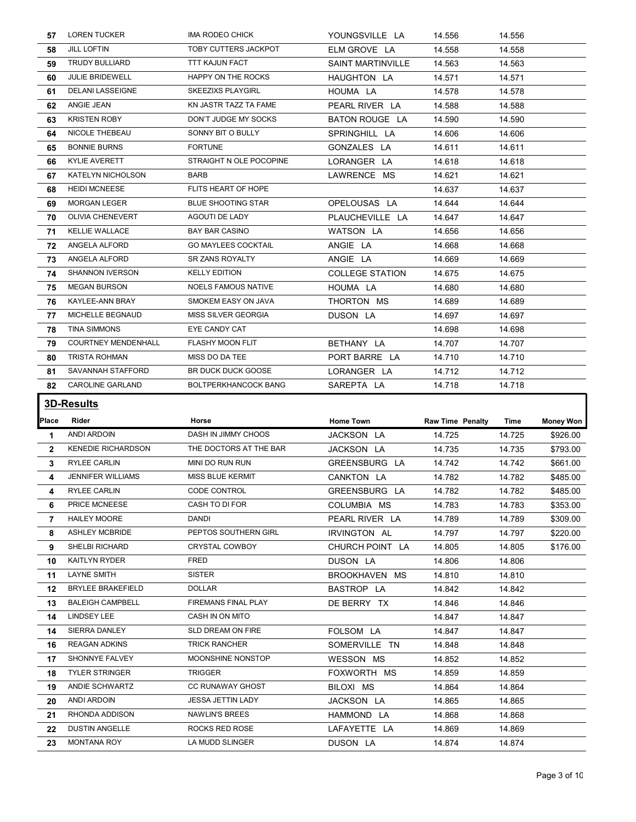| 57           | <b>LOREN TUCKER</b>                             | IMA RODEO CHICK                               | YOUNGSVILLE LA                  | 14.556                  | 14.556           |                  |
|--------------|-------------------------------------------------|-----------------------------------------------|---------------------------------|-------------------------|------------------|------------------|
| 58           | <b>JILL LOFTIN</b>                              | TOBY CUTTERS JACKPOT                          | ELM GROVE LA                    | 14.558                  | 14.558           |                  |
| 59           | <b>TRUDY BULLIARD</b>                           | <b>TTT KAJUN FACT</b>                         | <b>SAINT MARTINVILLE</b>        | 14.563                  | 14.563           |                  |
| 60           | <b>JULIE BRIDEWELL</b>                          | HAPPY ON THE ROCKS                            | HAUGHTON LA                     | 14.571                  | 14.571           |                  |
| 61           | <b>DELANI LASSEIGNE</b>                         | SKEEZIXS PLAYGIRL                             | HOUMA LA                        | 14.578                  | 14.578           |                  |
| 62           | ANGIE JEAN                                      | KN JASTR TAZZ TA FAME                         | PEARL RIVER LA                  | 14.588                  | 14.588           |                  |
| 63           | <b>KRISTEN ROBY</b>                             | DON'T JUDGE MY SOCKS                          | BATON ROUGE LA                  | 14.590                  | 14.590           |                  |
| 64           | NICOLE THEBEAU                                  | SONNY BIT O BULLY                             | SPRINGHILL LA                   | 14.606                  | 14.606           |                  |
| 65           | <b>BONNIE BURNS</b>                             | <b>FORTUNE</b>                                | GONZALES LA                     | 14.611                  | 14.611           |                  |
| 66           | <b>KYLIE AVERETT</b>                            | STRAIGHT N OLE POCOPINE                       | LORANGER LA                     | 14.618                  | 14.618           |                  |
| 67           | KATELYN NICHOLSON                               | <b>BARB</b>                                   | LAWRENCE MS                     | 14.621                  | 14.621           |                  |
| 68           | <b>HEIDI MCNEESE</b>                            | FLITS HEART OF HOPE                           |                                 | 14.637                  | 14.637           |                  |
| 69           | <b>MORGAN LEGER</b>                             | <b>BLUE SHOOTING STAR</b>                     | OPELOUSAS LA                    | 14.644                  | 14.644           |                  |
| 70           | <b>OLIVIA CHENEVERT</b>                         | AGOUTI DE LADY                                | PLAUCHEVILLE LA                 | 14.647                  | 14.647           |                  |
| 71           | <b>KELLIE WALLACE</b>                           | <b>BAY BAR CASINO</b>                         | WATSON LA                       | 14.656                  | 14.656           |                  |
| 72           | ANGELA ALFORD                                   | <b>GO MAYLEES COCKTAIL</b>                    | ANGIE LA                        | 14.668                  | 14.668           |                  |
| 73           | ANGELA ALFORD                                   | SR ZANS ROYALTY                               | ANGIE LA                        | 14.669                  | 14.669           |                  |
| 74           | <b>SHANNON IVERSON</b>                          | <b>KELLY EDITION</b>                          | <b>COLLEGE STATION</b>          | 14.675                  | 14.675           |                  |
| 75           | <b>MEGAN BURSON</b>                             | <b>NOELS FAMOUS NATIVE</b>                    | HOUMA LA                        | 14.680                  | 14.680           |                  |
| 76           | KAYLEE-ANN BRAY                                 | SMOKEM EASY ON JAVA                           | THORTON MS                      | 14.689                  | 14.689           |                  |
|              | MICHELLE BEGNAUD                                | MISS SILVER GEORGIA                           | DUSON LA                        | 14.697                  | 14.697           |                  |
| 77           | TINA SIMMONS                                    | EYE CANDY CAT                                 |                                 | 14.698                  | 14.698           |                  |
| 78           |                                                 |                                               |                                 | 14.707                  | 14.707           |                  |
| 79           | <b>COURTNEY MENDENHALL</b>                      | <b>FLASHY MOON FLIT</b>                       | BETHANY LA                      |                         |                  |                  |
| 80           | <b>TRISTA ROHMAN</b>                            | MISS DO DA TEE                                | PORT BARRE LA                   | 14.710                  | 14.710           |                  |
| 81           | SAVANNAH STAFFORD                               | BR DUCK DUCK GOOSE                            | LORANGER LA                     | 14.712                  | 14.712           |                  |
| 82           | <b>CAROLINE GARLAND</b>                         | <b>BOLTPERKHANCOCK BANG</b>                   | SAREPTA LA                      | 14.718                  | 14.718           |                  |
|              | <b>3D-Results</b>                               |                                               |                                 |                         |                  |                  |
|              | Rider                                           | Horse                                         |                                 |                         |                  |                  |
| <b>Place</b> |                                                 |                                               | Home Town                       | <b>Raw Time Penalty</b> | Time             | <b>Money Won</b> |
| 1            | <b>ANDI ARDOIN</b>                              | DASH IN JIMMY CHOOS<br>THE DOCTORS AT THE BAR | JACKSON LA                      | 14.725                  | 14.725           | \$926.00         |
| $\mathbf{2}$ | <b>KENEDIE RICHARDSON</b>                       |                                               | JACKSON LA                      | 14.735                  | 14.735           | \$793.00         |
| 3            | <b>RYLEE CARLIN</b><br><b>JENNIFER WILLIAMS</b> | MINI DO RUN RUN<br><b>MISS BLUE KERMIT</b>    | GREENSBURG LA                   | 14.742                  | 14.742           | \$661.00         |
| 4<br>4       |                                                 | <b>CODE CONTROL</b>                           | CANKTON LA                      | 14.782                  | 14.782           | \$485.00         |
|              | <b>RYLEE CARLIN</b>                             | CASH TO DI FOR                                | GREENSBURG LA                   | 14.782                  | 14.782           | \$485.00         |
| 6<br>7       | PRICE MCNEESE<br><b>HAILEY MOORE</b>            | DANDI                                         | COLUMBIA MS                     | 14.783                  | 14.783           | \$353.00         |
| 8            | <b>ASHLEY MCBRIDE</b>                           | PEPTOS SOUTHERN GIRL                          | PEARL RIVER LA                  | 14.789                  | 14.789           | \$309.00         |
| 9            | SHELBI RICHARD                                  | CRYSTAL COWBOY                                | IRVINGTON AL<br>CHURCH POINT LA | 14.797                  | 14.797           | \$220.00         |
|              | <b>KAITLYN RYDER</b>                            | FRED                                          |                                 | 14.805                  | 14.805           | \$176.00         |
| 10           | LAYNE SMITH                                     | SISTER                                        | DUSON LA                        | 14.806                  | 14.806           |                  |
| 11           | <b>BRYLEE BRAKEFIELD</b>                        | <b>DOLLAR</b>                                 | BROOKHAVEN MS                   | 14.810                  | 14.810           |                  |
| 12           | <b>BALEIGH CAMPBELL</b>                         | FIREMANS FINAL PLAY                           | BASTROP LA                      | 14.842                  | 14.842           |                  |
| 13           | LINDSEY LEE                                     | CASH IN ON MITO                               | DE BERRY TX                     | 14.846<br>14.847        | 14.846<br>14.847 |                  |
| 14           | SIERRA DANLEY                                   | SLD DREAM ON FIRE                             |                                 |                         |                  |                  |
| 14           |                                                 |                                               | FOLSOM LA                       | 14.847                  | 14.847           |                  |
| 16           | <b>REAGAN ADKINS</b>                            | <b>TRICK RANCHER</b>                          | SOMERVILLE TN                   | 14.848                  | 14.848           |                  |
| 17           | SHONNYE FALVEY                                  | MOONSHINE NONSTOP                             | WESSON MS                       | 14.852                  | 14.852           |                  |
| 18           | <b>TYLER STRINGER</b>                           | TRIGGER                                       | FOXWORTH MS                     | 14.859                  | 14.859           |                  |
| 19           | ANDIE SCHWARTZ                                  | <b>CC RUNAWAY GHOST</b>                       | BILOXI MS                       | 14.864                  | 14.864           |                  |
| 20           | ANDI ARDOIN                                     | JESSA JETTIN LADY                             | JACKSON LA                      | 14.865                  | 14.865           |                  |
| 21           | RHONDA ADDISON                                  | NAWLIN'S BREES                                | HAMMOND LA                      | 14.868                  | 14.868           |                  |
| 22<br>23     | <b>DUSTIN ANGELLE</b><br><b>MONTANA ROY</b>     | ROCKS RED ROSE<br>LA MUDD SLINGER             | LAFAYETTE LA<br>DUSON LA        | 14.869<br>14.874        | 14.869<br>14.874 |                  |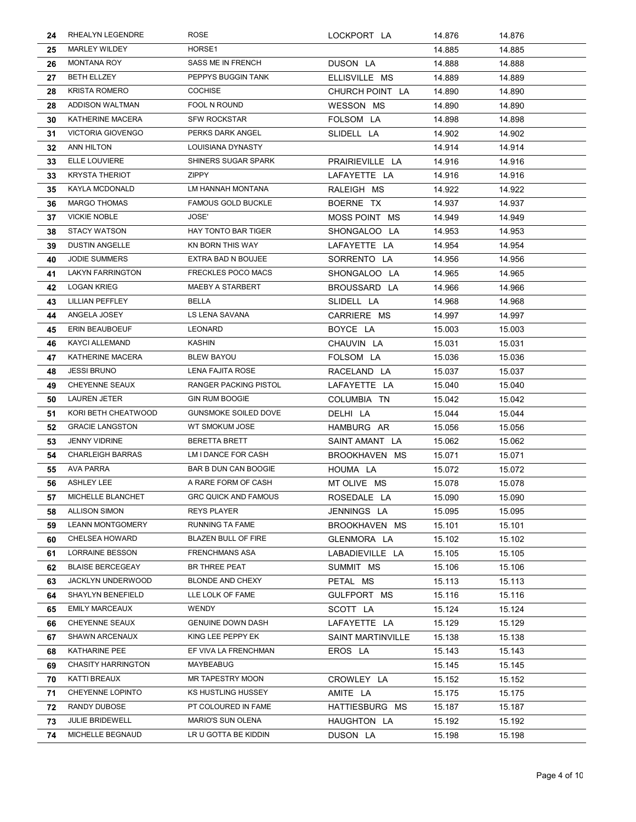| 24 | RHEALYN LEGENDRE          | ROSE                         | LOCKPORT LA              | 14.876 | 14.876 |
|----|---------------------------|------------------------------|--------------------------|--------|--------|
| 25 | <b>MARLEY WILDEY</b>      | HORSE1                       |                          | 14.885 | 14.885 |
| 26 | MONTANA ROY               | SASS ME IN FRENCH            | DUSON LA                 | 14.888 | 14.888 |
| 27 | <b>BETH ELLZEY</b>        | PEPPYS BUGGIN TANK           | ELLISVILLE MS            | 14.889 | 14.889 |
| 28 | <b>KRISTA ROMERO</b>      | <b>COCHISE</b>               | CHURCH POINT LA          | 14.890 | 14.890 |
| 28 | ADDISON WALTMAN           | FOOL N ROUND                 | WESSON MS                | 14.890 | 14.890 |
| 30 | KATHERINE MACERA          | <b>SFW ROCKSTAR</b>          | FOLSOM LA                | 14.898 | 14.898 |
| 31 | <b>VICTORIA GIOVENGO</b>  | PERKS DARK ANGEL             | SLIDELL LA               | 14.902 | 14.902 |
| 32 | ANN HILTON                | LOUISIANA DYNASTY            |                          | 14.914 | 14.914 |
| 33 | ELLE LOUVIERE             | SHINERS SUGAR SPARK          | PRAIRIEVILLE LA          | 14.916 | 14.916 |
| 33 | <b>KRYSTA THERIOT</b>     | <b>ZIPPY</b>                 | LAFAYETTE LA             | 14.916 | 14.916 |
| 35 | <b>KAYLA MCDONALD</b>     | LM HANNAH MONTANA            | RALEIGH MS               | 14.922 | 14.922 |
| 36 | <b>MARGO THOMAS</b>       | <b>FAMOUS GOLD BUCKLE</b>    | BOERNE TX                | 14.937 | 14.937 |
| 37 | <b>VICKIE NOBLE</b>       | JOSE'                        | MOSS POINT MS            | 14.949 | 14.949 |
| 38 | <b>STACY WATSON</b>       | HAY TONTO BAR TIGER          | SHONGALOO LA             | 14.953 | 14.953 |
| 39 | <b>DUSTIN ANGELLE</b>     | KN BORN THIS WAY             | LAFAYETTE LA             | 14.954 | 14.954 |
| 40 | <b>JODIE SUMMERS</b>      | <b>EXTRA BAD N BOUJEE</b>    | SORRENTO LA              | 14.956 | 14.956 |
| 41 | <b>LAKYN FARRINGTON</b>   | <b>FRECKLES POCO MACS</b>    | SHONGALOO LA             | 14.965 | 14.965 |
| 42 | <b>LOGAN KRIEG</b>        | MAEBY A STARBERT             | BROUSSARD LA             | 14.966 | 14.966 |
| 43 | <b>LILLIAN PEFFLEY</b>    | BELLA                        | SLIDELL LA               | 14.968 | 14.968 |
| 44 | ANGELA JOSEY              | <b>LS LENA SAVANA</b>        | CARRIERE MS              | 14.997 | 14.997 |
| 45 | ERIN BEAUBOEUF            | <b>LEONARD</b>               | BOYCE LA                 | 15.003 | 15.003 |
| 46 | <b>KAYCI ALLEMAND</b>     | <b>KASHIN</b>                | CHAUVIN LA               | 15.031 | 15.031 |
| 47 | KATHERINE MACERA          | <b>BLEW BAYOU</b>            | FOLSOM LA                | 15.036 | 15.036 |
| 48 | <b>JESSI BRUNO</b>        | <b>LENA FAJITA ROSE</b>      | RACELAND LA              | 15.037 | 15.037 |
| 49 | <b>CHEYENNE SEAUX</b>     | <b>RANGER PACKING PISTOL</b> | LAFAYETTE LA             | 15.040 | 15.040 |
| 50 | <b>LAUREN JETER</b>       | <b>GIN RUM BOOGIE</b>        | COLUMBIA TN              | 15.042 | 15.042 |
| 51 | KORI BETH CHEATWOOD       | <b>GUNSMOKE SOILED DOVE</b>  | DELHI LA                 | 15.044 | 15.044 |
| 52 | <b>GRACIE LANGSTON</b>    | WT SMOKUM JOSE               | HAMBURG AR               | 15.056 | 15.056 |
| 53 | <b>JENNY VIDRINE</b>      | <b>BERETTA BRETT</b>         | SAINT AMANT LA           | 15.062 | 15.062 |
| 54 | <b>CHARLEIGH BARRAS</b>   | LM I DANCE FOR CASH          | BROOKHAVEN MS            | 15.071 | 15.071 |
| 55 | <b>AVA PARRA</b>          | BAR B DUN CAN BOOGIE         | HOUMA LA                 | 15.072 | 15.072 |
| 56 | <b>ASHLEY LEE</b>         | A RARE FORM OF CASH          | MT OLIVE MS              | 15.078 | 15.078 |
|    | 57 MICHELLE BLANCHET      | <b>GRC QUICK AND FAMOUS</b>  | ROSEDALE LA              | 15.090 | 15.090 |
| 58 | <b>ALLISON SIMON</b>      | <b>REYS PLAYER</b>           | JENNINGS LA              | 15.095 | 15.095 |
| 59 | <b>LEANN MONTGOMERY</b>   | <b>RUNNING TA FAME</b>       | BROOKHAVEN MS            | 15.101 | 15.101 |
| 60 | <b>CHELSEA HOWARD</b>     | <b>BLAZEN BULL OF FIRE</b>   | GLENMORA LA              | 15.102 | 15.102 |
| 61 | <b>LORRAINE BESSON</b>    | <b>FRENCHMANS ASA</b>        | LABADIEVILLE LA          | 15.105 | 15.105 |
| 62 | <b>BLAISE BERCEGEAY</b>   | BR THREE PEAT                | SUMMIT MS                | 15.106 | 15.106 |
| 63 | JACKLYN UNDERWOOD         | BLONDE AND CHEXY             | PETAL MS                 | 15.113 | 15.113 |
| 64 | SHAYLYN BENEFIELD         | LLE LOLK OF FAME             | GULFPORT MS              | 15.116 | 15.116 |
| 65 | <b>EMILY MARCEAUX</b>     | WENDY                        | SCOTT LA                 | 15.124 | 15.124 |
| 66 | CHEYENNE SEAUX            | <b>GENUINE DOWN DASH</b>     | LAFAYETTE LA             | 15.129 | 15.129 |
| 67 | <b>SHAWN ARCENAUX</b>     | KING LEE PEPPY EK            | <b>SAINT MARTINVILLE</b> | 15.138 | 15.138 |
| 68 | KATHARINE PEE             | EF VIVA LA FRENCHMAN         | EROS LA                  | 15.143 | 15.143 |
| 69 | <b>CHASITY HARRINGTON</b> | MAYBEABUG                    |                          | 15.145 | 15.145 |
| 70 | KATTI BREAUX              | MR TAPESTRY MOON             | CROWLEY LA               | 15.152 | 15.152 |
| 71 | CHEYENNE LOPINTO          | KS HUSTLING HUSSEY           | AMITE LA                 | 15.175 | 15.175 |
| 72 | RANDY DUBOSE              | PT COLOURED IN FAME          | HATTIESBURG MS           | 15.187 | 15.187 |
| 73 | <b>JULIE BRIDEWELL</b>    | MARIO'S SUN OLENA            | HAUGHTON LA              | 15.192 | 15.192 |
| 74 | MICHELLE BEGNAUD          | LR U GOTTA BE KIDDIN         | DUSON LA                 | 15.198 | 15.198 |
|    |                           |                              |                          |        |        |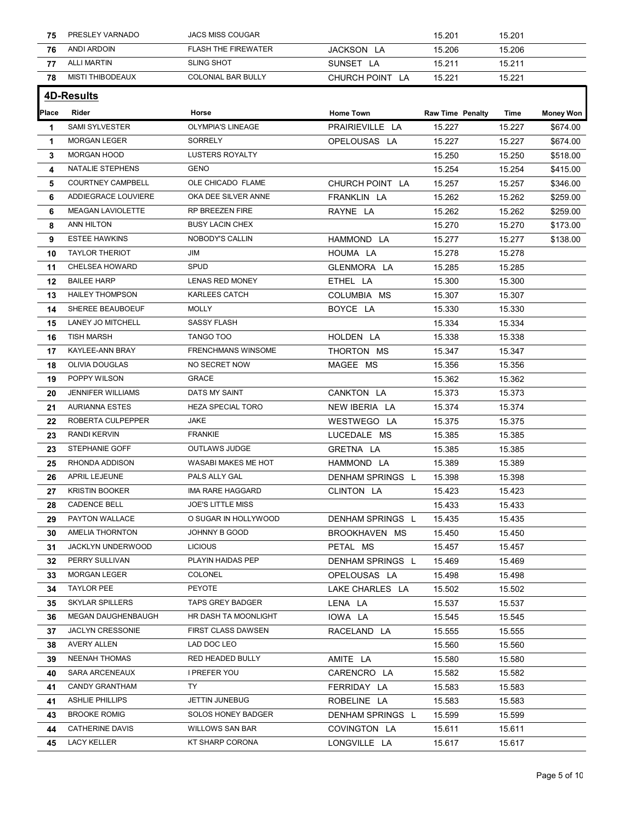| 75       | PRESLEY VARNADO                       | <b>JACS MISS COUGAR</b>                   |                              | 15.201                  | 15.201           |                  |
|----------|---------------------------------------|-------------------------------------------|------------------------------|-------------------------|------------------|------------------|
| 76       | ANDI ARDOIN                           | <b>FLASH THE FIREWATER</b>                | JACKSON LA                   | 15.206                  | 15.206           |                  |
| 77       | <b>ALLI MARTIN</b>                    | <b>SLING SHOT</b>                         | SUNSET LA                    | 15.211                  | 15.211           |                  |
| 78       | <b>MISTI THIBODEAUX</b>               | COLONIAL BAR BULLY                        | CHURCH POINT LA              | 15.221                  | 15.221           |                  |
|          | <b>4D-Results</b>                     |                                           |                              |                         |                  |                  |
| Place    | Rider                                 | Horse                                     | <b>Home Town</b>             | <b>Raw Time Penalty</b> | Time             | <b>Money Won</b> |
| -1       | SAMI SYLVESTER                        | OLYMPIA'S LINEAGE                         | PRAIRIEVILLE LA              | 15.227                  | 15.227           | \$674.00         |
| -1       | <b>MORGAN LEGER</b>                   | SORRELY                                   | OPELOUSAS LA                 | 15.227                  | 15.227           | \$674.00         |
| 3        | <b>MORGAN HOOD</b>                    | <b>LUSTERS ROYALTY</b>                    |                              | 15.250                  | 15.250           | \$518.00         |
| 4        | NATALIE STEPHENS                      | <b>GENO</b>                               |                              | 15.254                  | 15.254           | \$415.00         |
| 5        | <b>COURTNEY CAMPBELL</b>              | OLE CHICADO FLAME                         | CHURCH POINT LA              | 15.257                  | 15.257           | \$346.00         |
| 6        | ADDIEGRACE LOUVIERE                   | OKA DEE SILVER ANNE                       | FRANKLIN LA                  | 15.262                  | 15.262           | \$259.00         |
| 6        | MEAGAN LAVIOLETTE                     | RP BREEZEN FIRE                           | RAYNE LA                     | 15.262                  | 15.262           | \$259.00         |
| 8        | ANN HILTON                            | <b>BUSY LACIN CHEX</b>                    |                              | 15.270                  | 15.270           | \$173.00         |
| 9        | <b>ESTEE HAWKINS</b>                  | NOBODY'S CALLIN                           | HAMMOND LA                   | 15.277                  | 15.277           | \$138.00         |
| 10       | <b>TAYLOR THERIOT</b>                 | JIM                                       | HOUMA LA                     | 15.278                  | 15.278           |                  |
| 11       | CHELSEA HOWARD                        | <b>SPUD</b>                               | GLENMORA LA                  | 15.285                  | 15.285           |                  |
| 12       | <b>BAILEE HARP</b>                    | LENAS RED MONEY                           | ETHEL LA                     | 15.300                  | 15.300           |                  |
| 13       | <b>HAILEY THOMPSON</b>                | KARLEES CATCH                             | COLUMBIA MS                  | 15.307                  | 15.307           |                  |
|          | SHEREE BEAUBOEUF                      | <b>MOLLY</b>                              | BOYCE LA                     | 15.330                  | 15.330           |                  |
| 15       | <b>LANEY JO MITCHELL</b>              | <b>SASSY FLASH</b>                        |                              | 15.334                  | 15.334           |                  |
| 16       | TISH MARSH                            | TANGO TOO                                 | HOLDEN LA                    | 15.338                  | 15.338           |                  |
| 17       | KAYLEE-ANN BRAY                       | <b>FRENCHMANS WINSOME</b>                 | THORTON MS                   | 15.347                  | 15.347           |                  |
| 18       | OLIVIA DOUGLAS                        | NO SECRET NOW                             | MAGEE MS                     | 15.356                  | 15.356           |                  |
| 19       | POPPY WILSON                          | GRACE                                     |                              | 15.362                  | 15.362           |                  |
| 20       | <b>JENNIFER WILLIAMS</b>              | DATS MY SAINT                             | CANKTON LA                   | 15.373                  | 15.373           |                  |
| 21       | <b>AURIANNA ESTES</b>                 | HEZA SPECIAL TORO                         | NEW IBERIA LA                | 15.374                  | 15.374           |                  |
| 22       | ROBERTA CULPEPPER                     | JAKE                                      | WESTWEGO LA                  | 15.375                  | 15.375           |                  |
| 23       | RANDI KERVIN                          | <b>FRANKIE</b>                            | LUCEDALE MS                  | 15.385                  | 15.385           |                  |
| 23       | STEPHANIE GOFF                        | OUTLAWS JUDGE                             | GRETNA LA                    | 15.385                  | 15.385           |                  |
| 25       | RHONDA ADDISON                        | WASABI MAKES ME HOT                       | HAMMOND LA                   | 15.389                  | 15.389           |                  |
| 26       | APRIL LEJEUNE                         | PALS ALLY GAL                             | DENHAM SPRINGS L             | 15.398                  | 15.398           |                  |
| 27       | <b>KRISTIN BOOKER</b>                 | IMA RARE HAGGARD                          | CLINTON LA                   | 15.423                  | 15.423           |                  |
| 28       | <b>CADENCE BELL</b>                   | <b>JOE'S LITTLE MISS</b>                  |                              | 15.433                  | 15.433           |                  |
| 29       | PAYTON WALLACE                        | O SUGAR IN HOLLYWOOD                      | DENHAM SPRINGS L             | 15.435                  | 15.435           |                  |
| 30       | <b>AMELIA THORNTON</b>                | JOHNNY B GOOD                             | BROOKHAVEN MS                | 15.450                  | 15.450           |                  |
| 31       | JACKLYN UNDERWOOD                     | <b>LICIOUS</b>                            | PETAL MS                     | 15.457                  | 15.457           |                  |
| 32       | PERRY SULLIVAN                        | PLAYIN HAIDAS PEP                         | DENHAM SPRINGS L             | 15.469                  | 15.469           |                  |
| 33       | <b>MORGAN LEGER</b>                   | COLONEL                                   | OPELOUSAS LA                 | 15.498                  | 15.498           |                  |
| 34       | <b>TAYLOR PEE</b>                     | PEYOTE                                    | LAKE CHARLES LA              | 15.502                  | 15.502           |                  |
|          | <b>SKYLAR SPILLERS</b>                | <b>TAPS GREY BADGER</b>                   | LENA LA                      | 15.537                  | 15.537           |                  |
| 35       | MEGAN DAUGHENBAUGH                    | HR DASH TA MOONLIGHT                      | IOWA LA                      | 15.545                  | 15.545           |                  |
| 36       |                                       | FIRST CLASS DAWSEN                        |                              |                         |                  |                  |
| 37       | JACLYN CRESSONIE                      |                                           | RACELAND LA                  | 15.555                  | 15.555           |                  |
| 38       | <b>AVERY ALLEN</b>                    | LAD DOC LEO<br><b>RED HEADED BULLY</b>    |                              | 15.560                  | 15.560           |                  |
| 39       | <b>NEENAH THOMAS</b>                  |                                           | AMITE LA                     | 15.580                  | 15.580           |                  |
| 40       | SARA ARCENEAUX                        | <b>I PREFER YOU</b>                       | CARENCRO LA                  | 15.582                  | 15.582           |                  |
| 41       | <b>CANDY GRANTHAM</b>                 | TY                                        | FERRIDAY LA                  | 15.583                  | 15.583           |                  |
| 41       | <b>ASHLIE PHILLIPS</b>                | JETTIN JUNEBUG                            | ROBELINE LA                  | 15.583                  | 15.583           |                  |
|          | <b>BROOKE ROMIG</b>                   | SOLOS HONEY BADGER                        | DENHAM SPRINGS L             | 15.599                  | 15.599           |                  |
| 43       |                                       |                                           |                              |                         |                  |                  |
| 44<br>45 | CATHERINE DAVIS<br><b>LACY KELLER</b> | <b>WILLOWS SAN BAR</b><br>KT SHARP CORONA | COVINGTON LA<br>LONGVILLE LA | 15.611<br>15.617        | 15.611<br>15.617 |                  |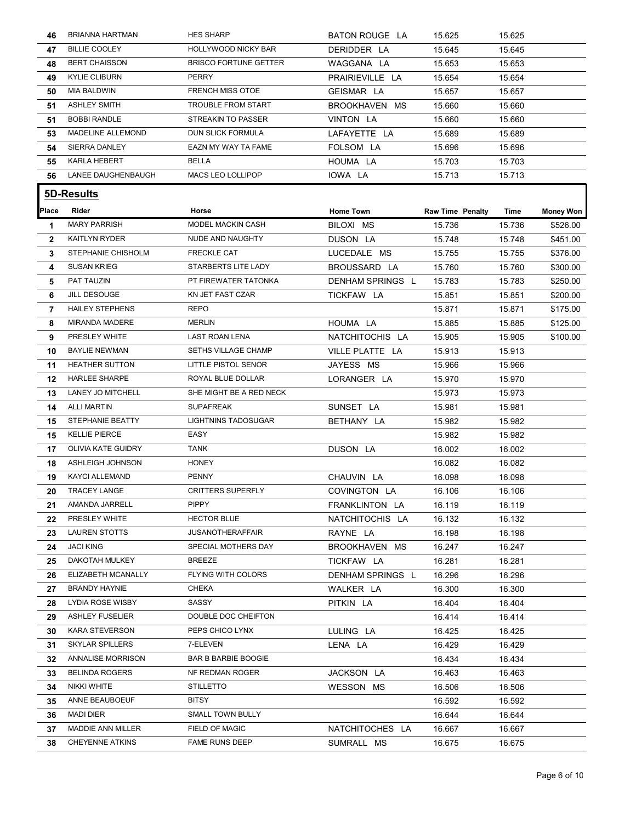| 46             | <b>BRIANNA HARTMAN</b>                     | <b>HES SHARP</b>                       | BATON ROUGE LA              | 15.625                  | 15.625           |                      |
|----------------|--------------------------------------------|----------------------------------------|-----------------------------|-------------------------|------------------|----------------------|
| 47             | <b>BILLIE COOLEY</b>                       | HOLLYWOOD NICKY BAR                    | DERIDDER LA                 | 15.645                  | 15.645           |                      |
| 48             | <b>BERT CHAISSON</b>                       | <b>BRISCO FORTUNE GETTER</b>           | WAGGANA LA                  | 15.653                  | 15.653           |                      |
| 49             | <b>KYLIE CLIBURN</b>                       | <b>PERRY</b>                           | PRAIRIEVILLE LA             | 15.654                  | 15.654           |                      |
| 50             | <b>MIA BALDWIN</b>                         | <b>FRENCH MISS OTOE</b>                | GEISMAR LA                  | 15.657                  | 15.657           |                      |
| 51             | <b>ASHLEY SMITH</b>                        | TROUBLE FROM START                     | BROOKHAVEN MS               | 15.660                  | 15.660           |                      |
| 51             | <b>BOBBI RANDLE</b>                        | STREAKIN TO PASSER                     | VINTON LA                   | 15.660                  | 15.660           |                      |
| 53             | MADELINE ALLEMOND                          | DUN SLICK FORMULA                      | LAFAYETTE LA                | 15.689                  | 15.689           |                      |
| 54             | <b>SIERRA DANLEY</b>                       | EAZN MY WAY TA FAME                    | FOLSOM LA                   | 15.696                  | 15.696           |                      |
| 55             | KARLA HEBERT                               | <b>BELLA</b>                           | HOUMA LA                    | 15.703                  | 15.703           |                      |
| 56             | LANEE DAUGHENBAUGH                         | MACS LEO LOLLIPOP                      | IOWA LA                     | 15.713                  | 15.713           |                      |
|                |                                            |                                        |                             |                         |                  |                      |
|                | 5D-Results                                 |                                        |                             |                         |                  |                      |
| <b>Place</b>   | Rider                                      | Horse                                  | <b>Home Town</b>            | <b>Raw Time Penalty</b> | Time             | <b>Money Won</b>     |
| -1             | <b>MARY PARRISH</b>                        | MODEL MACKIN CASH                      | BILOXI MS                   | 15.736                  | 15.736           | \$526.00             |
| $\mathbf{2}$   | <b>KAITLYN RYDER</b><br>STEPHANIE CHISHOLM | NUDE AND NAUGHTY<br><b>FRECKLE CAT</b> | DUSON LA                    | 15.748                  | 15.748           | \$451.00             |
| 3              | <b>SUSAN KRIEG</b>                         | STARBERTS LITE LADY                    | LUCEDALE MS<br>BROUSSARD LA | 15.755<br>15.760        | 15.755<br>15.760 | \$376.00<br>\$300.00 |
| 4              | PAT TAUZIN                                 | PT FIREWATER TATONKA                   |                             |                         |                  |                      |
| 5              | JILL DESOUGE                               | KN JET FAST CZAR                       | DENHAM SPRINGS L            | 15.783                  | 15.783           | \$250.00             |
| 6              | <b>HAILEY STEPHENS</b>                     | <b>REPO</b>                            | TICKFAW LA                  | 15.851<br>15.871        | 15.851           | \$200.00             |
| $\overline{7}$ | <b>MIRANDA MADERE</b>                      | <b>MERLIN</b>                          | HOUMA LA                    | 15.885                  | 15.871           | \$175.00             |
| 8              |                                            |                                        |                             |                         | 15.885           | \$125.00             |
| 9              | PRESLEY WHITE                              | <b>LAST ROAN LENA</b>                  | NATCHITOCHIS LA             | 15.905                  | 15.905           | \$100.00             |
| 10             | <b>BAYLIE NEWMAN</b>                       | SETHS VILLAGE CHAMP                    | VILLE PLATTE LA             | 15.913                  | 15.913           |                      |
| 11             | HEATHER SUTTON                             | LITTLE PISTOL SENOR                    | JAYESS MS                   | 15.966                  | 15.966           |                      |
| 12             | <b>HARLEE SHARPE</b>                       | ROYAL BLUE DOLLAR                      | LORANGER LA                 | 15.970                  | 15.970           |                      |
| 13             | LANEY JO MITCHELL                          | SHE MIGHT BE A RED NECK                |                             | 15.973                  | 15.973           |                      |
| 14             | ALLI MARTIN                                | <b>SUPAFREAK</b>                       | SUNSET LA                   | 15.981                  | 15.981           |                      |
| 15             | STEPHANIE BEATTY                           | <b>LIGHTNINS TADOSUGAR</b>             | BETHANY LA                  | 15.982                  | 15.982           |                      |
| 15             | <b>KELLIE PIERCE</b>                       | EASY                                   |                             | 15.982                  | 15.982           |                      |
| 17             | <b>OLIVIA KATE GUIDRY</b>                  | <b>TANK</b>                            | DUSON LA                    | 16.002                  | 16.002           |                      |
| 18             | ASHLEIGH JOHNSON                           | <b>HONEY</b>                           |                             | 16.082                  | 16.082           |                      |
| 19             | <b>KAYCI ALLEMAND</b>                      | <b>PENNY</b>                           | CHAUVIN LA                  | 16.098                  | 16.098           |                      |
| 20             | <b>TRACEY LANGE</b>                        | <b>CRITTERS SUPERFLY</b>               | COVINGTON LA                | 16.106                  | 16.106           |                      |
| 21             | AMANDA JARRELL                             | <b>PIPPY</b>                           | FRANKLINTON LA              | 16.119                  | 16.119           |                      |
| 22             | PRESLEY WHITE                              | <b>HECTOR BLUE</b>                     | NATCHITOCHIS LA             | 16.132                  | 16.132           |                      |
| 23             | LAUREN STOTTS                              | <b>JUSANOTHERAFFAIR</b>                | RAYNE LA                    | 16.198                  | 16.198           |                      |
| 24             | <b>JACI KING</b>                           | SPECIAL MOTHERS DAY                    | BROOKHAVEN MS               | 16.247                  | 16.247           |                      |
| 25             | DAKOTAH MULKEY                             | <b>BREEZE</b>                          | TICKFAW LA                  | 16.281                  | 16.281           |                      |
| 26             | ELIZABETH MCANALLY                         | FLYING WITH COLORS                     | DENHAM SPRINGS L            | 16.296                  | 16.296           |                      |
| 27             | <b>BRANDY HAYNIE</b>                       | <b>CHEKA</b>                           | WALKER LA                   | 16.300                  | 16.300           |                      |
| 28             | <b>LYDIA ROSE WISBY</b>                    | SASSY                                  | PITKIN LA                   | 16.404                  | 16.404           |                      |
| 29             | <b>ASHLEY FUSELIER</b>                     | DOUBLE DOC CHEIFTON                    |                             | 16.414                  | 16.414           |                      |
|                | KARA STEVERSON                             | PEPS CHICO LYNX                        | LULING LA                   | 16.425                  | 16.425           |                      |
| 30             | <b>SKYLAR SPILLERS</b>                     | 7-ELEVEN                               | LENA LA                     | 16.429                  | 16.429           |                      |
| 31             |                                            |                                        |                             | 16.434                  | 16.434           |                      |
| 32             | ANNALISE MORRISON                          | <b>BAR B BARBIE BOOGIE</b>             |                             |                         |                  |                      |
| 33             | <b>BELINDA ROGERS</b>                      | NF REDMAN ROGER                        | JACKSON LA                  | 16.463                  | 16.463           |                      |
| 34             | NIKKI WHITE                                | <b>STILLETTO</b>                       | WESSON MS                   | 16.506                  | 16.506           |                      |
| 35             | ANNE BEAUBOEUF                             | BITSY                                  |                             | 16.592                  | 16.592           |                      |
| 36             | <b>MADI DIER</b>                           | <b>SMALL TOWN BULLY</b>                |                             | 16.644                  | 16.644           |                      |
| 37             | MADDIE ANN MILLER                          | FIELD OF MAGIC                         | NATCHITOCHES LA             | 16.667                  | 16.667           |                      |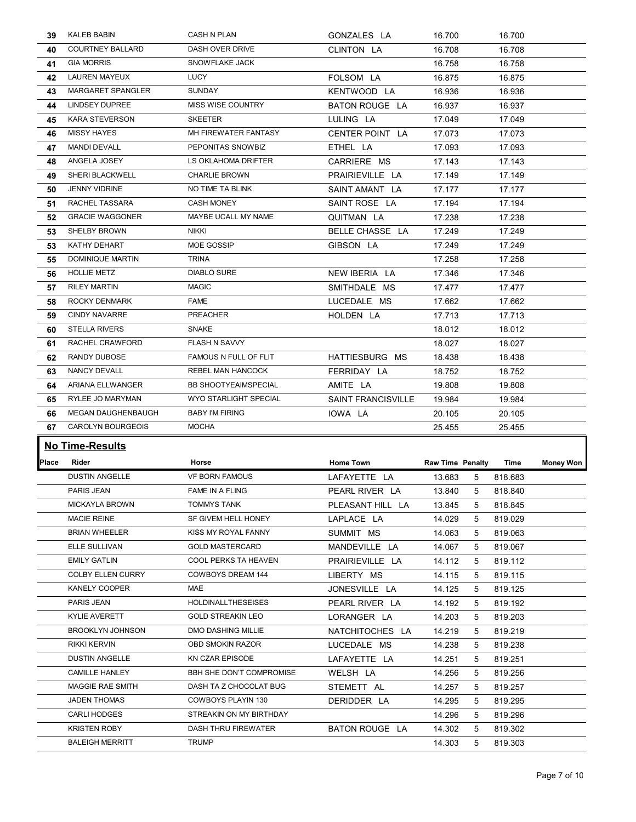| 39           | KALEB BABIN                                | CASH N PLAN                                    |                           |                              |                    |                  |
|--------------|--------------------------------------------|------------------------------------------------|---------------------------|------------------------------|--------------------|------------------|
| 40           | <b>COURTNEY BALLARD</b>                    | DASH OVER DRIVE                                | CLINTON LA                | 16.708                       | 16.708             |                  |
| 41           | <b>GIA MORRIS</b>                          | SNOWFLAKE JACK                                 |                           | 16.758                       | 16.758             |                  |
| 42           | LAUREN MAYEUX                              | LUCY                                           | FOLSOM LA                 | 16.875                       | 16.875             |                  |
| 43           | MARGARET SPANGLER                          | SUNDAY                                         | KENTWOOD LA               | 16.936                       | 16.936             |                  |
| 44           | <b>LINDSEY DUPREE</b>                      | MISS WISE COUNTRY                              | BATON ROUGE LA            | 16.937                       | 16.937             |                  |
| 45           | <b>KARA STEVERSON</b>                      | <b>SKEETER</b>                                 | LULING LA                 | 17.049                       | 17.049             |                  |
| 46           | <b>MISSY HAYES</b>                         | MH FIREWATER FANTASY                           | CENTER POINT LA           | 17.073                       | 17.073             |                  |
| 47           | <b>MANDI DEVALL</b>                        | PEPONITAS SNOWBIZ                              | ETHEL LA                  | 17.093                       | 17.093             |                  |
| 48           | ANGELA JOSEY                               | LS OKLAHOMA DRIFTER                            | CARRIERE MS               | 17.143                       | 17.143             |                  |
| 49           | SHERI BLACKWELL                            | <b>CHARLIE BROWN</b>                           | PRAIRIEVILLE LA           | 17.149                       | 17.149             |                  |
| 50           | <b>JENNY VIDRINE</b>                       | NO TIME TA BLINK                               | SAINT AMANT LA            | 17.177                       | 17.177             |                  |
| 51           | RACHEL TASSARA                             | <b>CASH MONEY</b>                              | SAINT ROSE LA             | 17.194                       | 17.194             |                  |
| 52           | <b>GRACIE WAGGONER</b>                     | MAYBE UCALL MY NAME                            | QUITMAN LA                | 17.238                       | 17.238             |                  |
| 53           | SHELBY BROWN                               | <b>NIKKI</b>                                   | BELLE CHASSE LA           | 17.249                       | 17.249             |                  |
|              | KATHY DEHART                               | MOE GOSSIP                                     |                           |                              |                    |                  |
| 53           |                                            |                                                | GIBSON LA                 | 17.249                       | 17.249             |                  |
| 55           | DOMINIQUE MARTIN                           | <b>TRINA</b>                                   |                           | 17.258                       | 17.258             |                  |
| 56           | <b>HOLLIE METZ</b>                         | <b>DIABLO SURE</b>                             | NEW IBERIA LA             | 17.346                       | 17.346             |                  |
| 57           | <b>RILEY MARTIN</b>                        | <b>MAGIC</b>                                   | SMITHDALE MS              | 17.477                       | 17.477             |                  |
| 58           | <b>ROCKY DENMARK</b>                       | <b>FAME</b>                                    | LUCEDALE MS               | 17.662                       | 17.662             |                  |
| 59           | <b>CINDY NAVARRE</b>                       | PREACHER                                       | HOLDEN LA                 | 17.713                       | 17.713             |                  |
| 60           | <b>STELLA RIVERS</b>                       | <b>SNAKE</b>                                   |                           | 18.012                       | 18.012             |                  |
| 61           | RACHEL CRAWFORD                            | FLASH N SAVVY                                  |                           | 18.027                       | 18.027             |                  |
| 62           | RANDY DUBOSE                               | FAMOUS N FULL OF FLIT                          | HATTIESBURG MS            | 18.438                       | 18.438             |                  |
|              |                                            |                                                | FERRIDAY LA               | 18.752                       | 18.752             |                  |
| 63           | NANCY DEVALL                               | REBEL MAN HANCOCK                              |                           |                              |                    |                  |
| 64           | ARIANA ELLWANGER                           | <b>BB SHOOTYEAIMSPECIAL</b>                    | AMITE LA                  | 19.808                       | 19.808             |                  |
| 65           | RYLEE JO MARYMAN                           | WYO STARLIGHT SPECIAL                          | <b>SAINT FRANCISVILLE</b> | 19.984                       | 19.984             |                  |
| 66           | MEGAN DAUGHENBAUGH                         | <b>BABY I'M FIRING</b>                         | IOWA LA                   | 20.105                       | 20.105             |                  |
| 67           | CAROLYN BOURGEOIS                          | MOCHA                                          |                           | 25.455                       | 25.455             |                  |
|              |                                            |                                                |                           |                              |                    |                  |
|              | <b>No Time-Results</b>                     |                                                |                           |                              |                    |                  |
| <b>Place</b> | Rider                                      | Horse                                          | <b>Home Town</b>          | Raw Time Penalty             | Time               | <b>Money Won</b> |
|              | <b>DUSTIN ANGELLE</b>                      | <b>VF BORN FAMOUS</b>                          | LAFAYETTE LA              | 13.683<br>5                  | 818.683            |                  |
|              | PARIS JEAN                                 | FAME IN A FLING                                | PEARL RIVER LA            | 13.840<br>-5                 | 818.840            |                  |
|              | <b>MICKAYLA BROWN</b>                      | <b>TOMMYS TANK</b>                             | PLEASANT HILL LA          | 13.845<br>-5                 | 818.845            |                  |
|              | <b>MACIE REINE</b>                         | SF GIVEM HELL HONEY                            | LAPLACE LA                | 14.029<br>-5                 | 819.029            |                  |
|              | <b>BRIAN WHEELER</b>                       | KISS MY ROYAL FANNY                            | SUMMIT MS                 | 14.063<br>- 5                | 819.063            |                  |
|              | ELLE SULLIVAN                              | <b>GOLD MASTERCARD</b>                         | MANDEVILLE LA             | 14.067<br>- 5                | 819.067            |                  |
|              | <b>EMILY GATLIN</b>                        | COOL PERKS TA HEAVEN                           | PRAIRIEVILLE LA           | 14.112<br>- 5                | 819.112            |                  |
|              | COLBY ELLEN CURRY                          | <b>COWBOYS DREAM 144</b>                       | LIBERTY MS                | 14.115<br>-5                 | 819.115            |                  |
|              | KANELY COOPER                              | MAE                                            | JONESVILLE LA             | 14.125<br>- 5                | 819.125            |                  |
|              | PARIS JEAN                                 | <b>HOLDINALLTHESEISES</b>                      | PEARL RIVER LA            | 14.192<br>- 5                | 819.192            |                  |
|              | <b>KYLIE AVERETT</b>                       | <b>GOLD STREAKIN LEO</b>                       | LORANGER LA               | 14.203<br>- 5                | 819.203            |                  |
|              | <b>BROOKLYN JOHNSON</b>                    | DMO DASHING MILLIE                             | NATCHITOCHES LA           | 14.219<br>-5                 | 819.219            |                  |
|              | <b>RIKKI KERVIN</b>                        | OBD SMOKIN RAZOR                               | LUCEDALE MS               | 14.238<br>- 5                | 819.238            |                  |
|              | <b>DUSTIN ANGELLE</b>                      | KN CZAR EPISODE                                | LAFAYETTE LA              | 14.251<br>-5                 | 819.251            |                  |
|              | <b>CAMILLE HANLEY</b>                      | BBH SHE DON'T COMPROMISE                       | WELSH LA                  | 14.256<br>-5                 | 819.256            |                  |
|              | MAGGIE RAE SMITH                           | DASH TA Z CHOCOLAT BUG                         |                           | -5                           |                    |                  |
|              | JADEN THOMAS                               | COWBOYS PLAYIN 130                             | STEMETT AL                | 14.257                       | 819.257            |                  |
|              |                                            |                                                | DERIDDER LA               | 14.295<br>- 5                | 819.295            |                  |
|              | <b>CARLI HODGES</b><br><b>KRISTEN ROBY</b> | STREAKIN ON MY BIRTHDAY<br>DASH THRU FIREWATER | BATON ROUGE LA            | 14.296<br>-5<br>14.302<br>-5 | 819.296<br>819.302 |                  |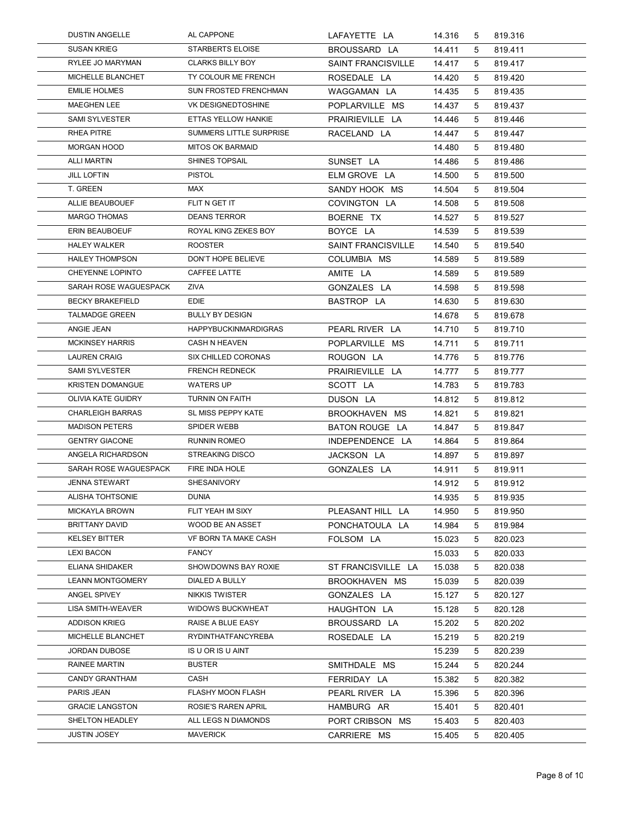| <b>DUSTIN ANGELLE</b>                      | AL CAPPONE                                   | LAFAYETTE LA                     | 14.316           | 5      | 819.316            |  |
|--------------------------------------------|----------------------------------------------|----------------------------------|------------------|--------|--------------------|--|
| <b>SUSAN KRIEG</b>                         | <b>STARBERTS ELOISE</b>                      | BROUSSARD LA                     | 14.411           | -5     | 819.411            |  |
| RYLEE JO MARYMAN                           | <b>CLARKS BILLY BOY</b>                      | <b>SAINT FRANCISVILLE</b>        | 14.417           | 5      | 819.417            |  |
| MICHELLE BLANCHET                          | TY COLOUR ME FRENCH                          | ROSEDALE LA                      | 14.420           | 5      | 819.420            |  |
| <b>EMILIE HOLMES</b>                       | SUN FROSTED FRENCHMAN                        | WAGGAMAN LA                      | 14.435           | 5      | 819.435            |  |
| <b>MAEGHEN LEE</b><br>SAMI SYLVESTER       | VK DESIGNEDTOSHINE<br>ETTAS YELLOW HANKIE    | POPLARVILLE MS                   | 14.437           | 5      | 819.437            |  |
| <b>RHEA PITRE</b>                          | SUMMERS LITTLE SURPRISE                      | PRAIRIEVILLE LA<br>RACELAND LA   | 14.446<br>14.447 | 5<br>5 | 819.446<br>819.447 |  |
| <b>MORGAN HOOD</b>                         | <b>MITOS OK BARMAID</b>                      |                                  | 14.480           | 5      | 819.480            |  |
| <b>ALLI MARTIN</b>                         | SHINES TOPSAIL                               | SUNSET LA                        | 14.486           | 5      | 819.486            |  |
| <b>JILL LOFTIN</b>                         | <b>PISTOL</b>                                | ELM GROVE LA                     | 14.500           | 5      | 819.500            |  |
| T. GREEN                                   | MAX                                          | SANDY HOOK MS                    | 14.504           | 5      | 819.504            |  |
| ALLIE BEAUBOUEF<br><b>MARGO THOMAS</b>     | FLIT N GET IT<br><b>DEANS TERROR</b>         | COVINGTON LA                     | 14.508           | 5      | 819.508            |  |
| ERIN BEAUBOEUF                             | ROYAL KING ZEKES BOY                         | BOERNE TX<br>BOYCE LA            | 14.527<br>14.539 | 5<br>5 | 819.527<br>819.539 |  |
| <b>HALEY WALKER</b>                        | <b>ROOSTER</b>                               | <b>SAINT FRANCISVILLE</b>        | 14.540           | 5      | 819.540            |  |
| <b>HAILEY THOMPSON</b>                     | DON'T HOPE BELIEVE                           | COLUMBIA MS                      | 14.589           | 5      | 819.589            |  |
| CHEYENNE LOPINTO                           | CAFFEE LATTE                                 | AMITE LA                         | 14.589           | 5      | 819.589            |  |
| SARAH ROSE WAGUESPACK                      | ZIVA                                         | GONZALES LA                      | 14.598           | 5      | 819.598            |  |
| <b>BECKY BRAKEFIELD</b>                    | <b>EDIE</b>                                  | BASTROP LA                       | 14.630           | 5      | 819.630            |  |
| <b>TALMADGE GREEN</b>                      | <b>BULLY BY DESIGN</b>                       |                                  | 14.678           | 5      | 819.678            |  |
| ANGIE JEAN<br><b>MCKINSEY HARRIS</b>       | <b>HAPPYBUCKINMARDIGRAS</b><br>CASH N HEAVEN | PEARL RIVER LA<br>POPLARVILLE MS | 14.710<br>14.711 | 5<br>5 | 819.710<br>819.711 |  |
| <b>LAUREN CRAIG</b>                        | SIX CHILLED CORONAS                          | ROUGON LA                        | 14.776           | 5      | 819.776            |  |
| <b>SAMI SYLVESTER</b>                      | <b>FRENCH REDNECK</b>                        | PRAIRIEVILLE LA                  | 14.777           | 5      | 819.777            |  |
| <b>KRISTEN DOMANGUE</b>                    | <b>WATERS UP</b>                             | SCOTT LA                         | 14.783           | 5      | 819.783            |  |
| OLIVIA KATE GUIDRY                         | TURNIN ON FAITH                              | DUSON LA                         | 14.812           | 5      | 819.812            |  |
| <b>CHARLEIGH BARRAS</b>                    | SL MISS PEPPY KATE                           | BROOKHAVEN MS                    | 14.821           | 5      | 819.821            |  |
| <b>MADISON PETERS</b>                      | SPIDER WEBB                                  | BATON ROUGE LA                   | 14.847           | 5      | 819.847            |  |
| <b>GENTRY GIACONE</b>                      | RUNNIN ROMEO                                 | INDEPENDENCE LA                  | 14.864           | 5      | 819.864            |  |
| ANGELA RICHARDSON<br>SARAH ROSE WAGUESPACK | <b>STREAKING DISCO</b><br>FIRE INDA HOLE     | JACKSON LA<br>GONZALES LA        | 14.897<br>14.911 | 5<br>5 | 819.897<br>819.911 |  |
| <b>JENNA STEWART</b>                       | SHESANIVORY                                  |                                  | 14.912           | 5      | 819.912            |  |
| ALISHA TOHTSONIE                           | <b>DUNIA</b>                                 |                                  | 14.935           | 5      | 819.935            |  |
| <b>MICKAYLA BROWN</b>                      | FLIT YEAH IM SIXY                            | PLEASANT HILL LA                 | 14.950           | 5      | 819.950            |  |
| <b>BRITTANY DAVID</b>                      | WOOD BE AN ASSET                             | PONCHATOULA LA                   | 14.984           | 5      | 819.984            |  |
| <b>KELSEY BITTER</b>                       | VF BORN TA MAKE CASH                         | FOLSOM LA                        | 15.023           | 5      | 820.023            |  |
| <b>LEXI BACON</b>                          | <b>FANCY</b>                                 |                                  | 15.033           | 5      | 820.033            |  |
| ELIANA SHIDAKER                            | SHOWDOWNS BAY ROXIE                          | ST FRANCISVILLE LA               | 15.038           | 5      | 820.038            |  |
| <b>LEANN MONTGOMERY</b><br>ANGEL SPIVEY    | DIALED A BULLY<br><b>NIKKIS TWISTER</b>      | BROOKHAVEN MS<br>GONZALES LA     | 15.039<br>15.127 | 5<br>5 | 820.039<br>820.127 |  |
| LISA SMITH-WEAVER                          | <b>WIDOWS BUCKWHEAT</b>                      | HAUGHTON LA                      | 15.128           | 5      | 820.128            |  |
| <b>ADDISON KRIEG</b>                       | RAISE A BLUE EASY                            | BROUSSARD LA                     | 15.202           | 5      | 820.202            |  |
| MICHELLE BLANCHET                          | RYDINTHATFANCYREBA                           | ROSEDALE LA                      | 15.219           | 5      | 820.219            |  |
| <b>JORDAN DUBOSE</b>                       | IS U OR IS U AINT                            |                                  | 15.239           | 5      | 820.239            |  |
| RAINEE MARTIN                              | <b>BUSTER</b>                                | SMITHDALE MS                     | 15.244           | 5      | 820.244            |  |
| CANDY GRANTHAM                             | CASH                                         | FERRIDAY LA                      | 15.382           | 5      | 820.382            |  |
| PARIS JEAN                                 | FLASHY MOON FLASH                            | PEARL RIVER LA                   | 15.396           | 5      | 820.396            |  |
| <b>GRACIE LANGSTON</b>                     | ROSIE'S RAREN APRIL<br>ALL LEGS N DIAMONDS   | HAMBURG AR<br>PORT CRIBSON MS    | 15.401           | 5      | 820.401            |  |
| SHELTON HEADLEY                            |                                              |                                  | 15.403           | 5      | 820.403            |  |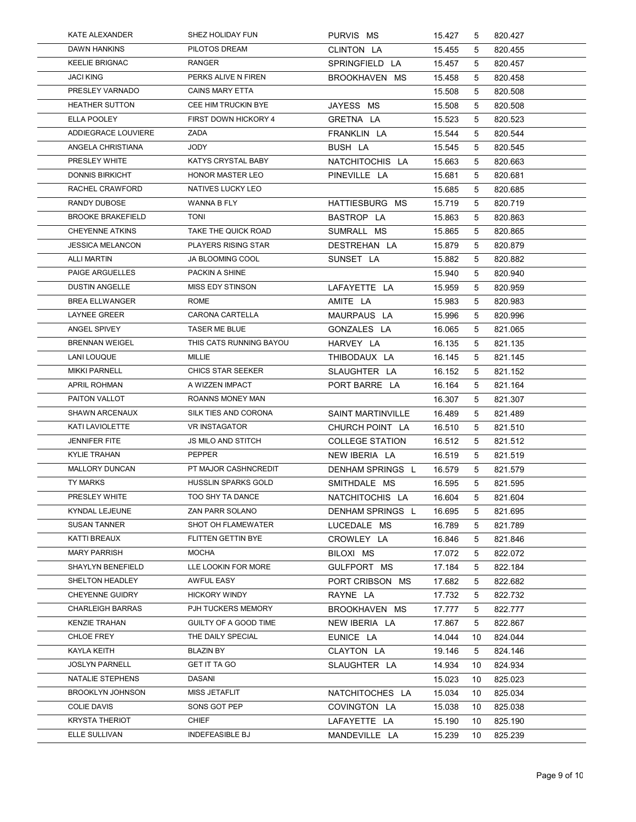| KATE ALEXANDER                                    | SHEZ HOLIDAY FUN                                   | PURVIS MS                           | 15.427           | 5        | 820.427            |  |
|---------------------------------------------------|----------------------------------------------------|-------------------------------------|------------------|----------|--------------------|--|
| DAWN HANKINS                                      | PILOTOS DREAM                                      | CLINTON LA                          | 15.455           | 5        | 820.455            |  |
| <b>KEELIE BRIGNAC</b>                             | RANGER                                             | SPRINGFIELD LA                      | 15.457           | 5        | 820.457            |  |
| <b>JACI KING</b>                                  | PERKS ALIVE N FIREN                                | BROOKHAVEN MS                       | 15.458           | 5        | 820.458            |  |
| PRESLEY VARNADO                                   | <b>CAINS MARY ETTA</b>                             |                                     | 15.508           | 5        | 820.508            |  |
| <b>HEATHER SUTTON</b><br>ELLA POOLEY              | CEE HIM TRUCKIN BYE<br><b>FIRST DOWN HICKORY 4</b> | JAYESS MS<br>GRETNA LA              | 15.508<br>15.523 | 5<br>5   | 820.508<br>820.523 |  |
| ADDIEGRACE LOUVIERE                               | ZADA                                               | FRANKLIN LA                         | 15.544           | 5        | 820.544            |  |
| ANGELA CHRISTIANA                                 | <b>JODY</b>                                        | BUSH LA                             | 15.545           | 5        | 820.545            |  |
| PRESLEY WHITE                                     | KATYS CRYSTAL BABY                                 | NATCHITOCHIS LA                     | 15.663           | 5        | 820.663            |  |
| <b>DONNIS BIRKICHT</b>                            | <b>HONOR MASTER LEO</b>                            | PINEVILLE LA                        | 15.681           | 5        | 820.681            |  |
| RACHEL CRAWFORD<br><b>RANDY DUBOSE</b>            | NATIVES LUCKY LEO<br>WANNA B FLY                   |                                     | 15.685           | 5        | 820.685            |  |
| <b>BROOKE BRAKEFIELD</b>                          | <b>TONI</b>                                        | HATTIESBURG MS<br>BASTROP LA        | 15.719<br>15.863 | 5<br>5   | 820.719<br>820.863 |  |
| CHEYENNE ATKINS                                   | TAKE THE QUICK ROAD                                | SUMRALL MS                          | 15.865           | 5        | 820.865            |  |
| <b>JESSICA MELANCON</b>                           | PLAYERS RISING STAR                                | DESTREHAN LA                        | 15.879           | 5        | 820.879            |  |
| <b>ALLI MARTIN</b>                                | JA BLOOMING COOL                                   | SUNSET LA                           | 15.882           | 5        | 820.882            |  |
| PAIGE ARGUELLES                                   | PACKIN A SHINE                                     |                                     | 15.940           | 5        | 820.940            |  |
| <b>DUSTIN ANGELLE</b><br><b>BREA ELLWANGER</b>    | MISS EDY STINSON<br>ROME                           | LAFAYETTE LA<br>AMITE LA            | 15.959<br>15.983 | 5<br>5   | 820.959<br>820.983 |  |
| <b>LAYNEE GREER</b>                               | CARONA CARTELLA                                    | MAURPAUS LA                         | 15.996           | 5        | 820.996            |  |
| ANGEL SPIVEY                                      | TASER ME BLUE                                      | GONZALES LA                         | 16.065           | 5        | 821.065            |  |
| <b>BRENNAN WEIGEL</b>                             | THIS CATS RUNNING BAYOU                            | HARVEY LA                           | 16.135           | 5        | 821.135            |  |
| LANI LOUQUE                                       | MILLIE                                             | THIBODAUX LA                        | 16.145           | 5        | 821.145            |  |
| <b>MIKKI PARNELL</b>                              | CHICS STAR SEEKER                                  | SLAUGHTER LA                        | 16.152           | 5        | 821.152            |  |
| APRIL ROHMAN<br>PAITON VALLOT                     | A WIZZEN IMPACT                                    | PORT BARRE LA                       | 16.164           | 5        | 821.164            |  |
| <b>SHAWN ARCENAUX</b>                             | ROANNS MONEY MAN<br>SILK TIES AND CORONA           | SAINT MARTINVILLE                   | 16.307<br>16.489 | 5<br>5   | 821.307<br>821.489 |  |
| KATI LAVIOLETTE                                   | <b>VR INSTAGATOR</b>                               | CHURCH POINT LA                     | 16.510           | 5        | 821.510            |  |
| <b>JENNIFER FITE</b>                              | JS MILO AND STITCH                                 | <b>COLLEGE STATION</b>              | 16.512           | 5        | 821.512            |  |
| <b>KYLIE TRAHAN</b>                               | PEPPER                                             | NEW IBERIA LA                       | 16.519           | 5        | 821.519            |  |
| MALLORY DUNCAN                                    | PT MAJOR CASHNCREDIT                               | DENHAM SPRINGS L                    | 16.579           | 5        | 821.579            |  |
| TY MARKS                                          | HUSSLIN SPARKS GOLD                                | SMITHDALE MS                        | 16.595           | 5        | 821.595            |  |
| PRESLEY WHITE<br>KYNDAL LEJEUNE                   | TOO SHY TA DANCE<br>ZAN PARR SOLANO                | NATCHITOCHIS LA<br>DENHAM SPRINGS L | 16.604<br>16.695 | 5<br>5   | 821.604<br>821.695 |  |
| <b>SUSAN TANNER</b>                               | SHOT OH FLAMEWATER                                 | LUCEDALE MS                         | 16.789           | 5        | 821.789            |  |
| KATTI BREAUX                                      | FLITTEN GETTIN BYE                                 | CROWLEY LA                          | 16.846           | 5        | 821.846            |  |
| <b>MARY PARRISH</b>                               | <b>MOCHA</b>                                       | BILOXI MS                           | 17.072           | 5        | 822.072            |  |
| SHAYLYN BENEFIELD                                 | LLE LOOKIN FOR MORE                                | GULFPORT MS                         | 17.184           | 5        | 822.184            |  |
| SHELTON HEADLEY                                   | AWFUL EASY                                         | PORT CRIBSON MS                     | 17.682           | 5        | 822.682            |  |
| <b>CHEYENNE GUIDRY</b><br><b>CHARLEIGH BARRAS</b> | <b>HICKORY WINDY</b><br>PJH TUCKERS MEMORY         | RAYNE LA<br>BROOKHAVEN MS           | 17.732<br>17.777 | 5<br>5   | 822.732<br>822.777 |  |
| <b>KENZIE TRAHAN</b>                              | GUILTY OF A GOOD TIME                              | NEW IBERIA LA                       | 17.867           | 5        | 822.867            |  |
| CHLOE FREY                                        | THE DAILY SPECIAL                                  | EUNICE LA                           | 14.044           | 10       | 824.044            |  |
| KAYLA KEITH                                       | <b>BLAZIN BY</b>                                   | CLAYTON LA                          | 19.146           | 5        | 824.146            |  |
| <b>JOSLYN PARNELL</b>                             | <b>GET IT TA GO</b>                                | SLAUGHTER LA                        | 14.934           | 10       | 824.934            |  |
| NATALIE STEPHENS                                  | DASANI                                             |                                     | 15.023           | 10       | 825.023            |  |
| <b>BROOKLYN JOHNSON</b>                           | MISS JETAFLIT<br>SONS GOT PEP                      | NATCHITOCHES LA                     | 15.034           | 10       | 825.034            |  |
| COLIE DAVIS<br><b>KRYSTA THERIOT</b>              | <b>CHIEF</b>                                       | COVINGTON LA<br>LAFAYETTE LA        | 15.038<br>15.190 | 10<br>10 | 825.038<br>825.190 |  |
|                                                   | INDEFEASIBLE BJ                                    |                                     |                  |          |                    |  |